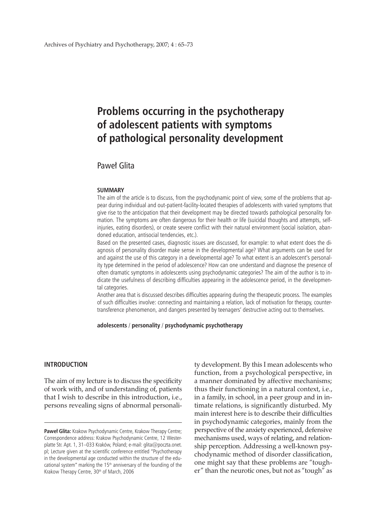# **Problems occurring in the psychotherapy of adolescent patients with symptoms of pathological personality development**

# Paweł Glita

#### **SUMMARY**

The aim of the article is to discuss, from the psychodynamic point of view, some of the problems that appear during individual and out-patient-facility-located therapies of adolescents with varied symptoms that give rise to the anticipation that their development may be directed towards pathological personality formation. The symptoms are often dangerous for their health or life (suicidal thoughts and attempts, selfinjuries, eating disorders), or create severe conflict with their natural environment (social isolation, abandoned education, antisocial tendencies, etc.).

Based on the presented cases, diagnostic issues are discussed, for example: to what extent does the diagnosis of personality disorder make sense in the developmental age? What arguments can be used for and against the use of this category in a developmental age? To what extent is an adolescent's personality type determined in the period of adolescence? How can one understand and diagnose the presence of often dramatic symptoms in adolescents using psychodynamic categories? The aim of the author is to indicate the usefulness of describing difficulties appearing in the adolescence period, in the developmental categories.

Another area that is discussed describes difficulties appearing during the therapeutic process. The examples of such difficulties involve: connecting and maintaining a relation, lack of motivation for therapy, countertransference phenomenon, and dangers presented by teenagers' destructive acting out to themselves.

**adolescents** / **personality** / **psychodynamic psychotherapy**

# **INTRODUCTION**

The aim of my lecture is to discuss the specificity of work with, and of understanding of, patients that I wish to describe in this introduction, i.e., persons revealing signs of abnormal personality development. By this I mean adolescents who function, from a psychological perspective, in a manner dominated by affective mechanisms; thus their functioning in a natural context, i.e., in a family, in school, in a peer group and in intimate relations, is significantly disturbed. My main interest here is to describe their difficulties in psychodynamic categories, mainly from the perspective of the anxiety experienced, defensive mechanisms used, ways of relating, and relationship perception. Addressing a well-known psychodynamic method of disorder classification, one might say that these problems are "tougher" than the neurotic ones, but not as "tough" as

Paweł Glita: Krakow Psychodynamic Centre, Krakow Therapy Centre; Correspondence address: Krakow Psychodynamic Centre, 12 Westerplatte Str. Apt. 1, 31–033 Kraków, Poland; e-mail: glita@poczta.onet. pl; Lecture given at the scientific conference entitled "Psychotherapy in the developmental age conducted within the structure of the educational system" marking the 15<sup>th</sup> anniversary of the founding of the Krakow Therapy Centre, 30<sup>th</sup> of March, 2006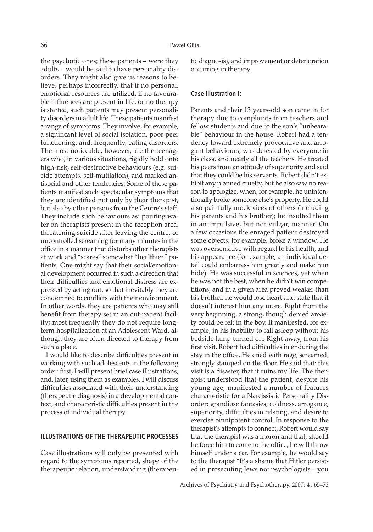the psychotic ones; these patients – were they adults – would be said to have personality disorders. They might also give us reasons to believe, perhaps incorrectly, that if no personal, emotional resources are utilized, if no favourable influences are present in life, or no therapy is started, such patients may present personality disorders in adult life. These patients manifest a range of symptoms. They involve, for example, a significant level of social isolation, poor peer functioning, and, frequently, eating disorders. The most noticeable, however, are the teenagers who, in various situations, rigidly hold onto high-risk, self-destructive behaviours (e.g. suicide attempts, self-mutilation), and marked antisocial and other tendencies. Some of these patients manifest such spectacular symptoms that they are identified not only by their therapist, but also by other persons from the Centre's staff. They include such behaviours as: pouring water on therapists present in the reception area, threatening suicide after leaving the centre, or uncontrolled screaming for many minutes in the office in a manner that disturbs other therapists at work and "scares" somewhat "healthier" patients. One might say that their social/emotional development occurred in such a direction that their difficulties and emotional distress are expressed by acting out, so that inevitably they are condemned to conflicts with their environment. In other words, they are patients who may still benefit from therapy set in an out-patient facility; most frequently they do not require longterm hospitalization at an Adolescent Ward, although they are often directed to therapy from such a place.

I would like to describe difficulties present in working with such adolescents in the following order: first, I will present brief case illustrations, and, later, using them as examples, I will discuss difficulties associated with their understanding (therapeutic diagnosis) in a developmental context, and characteristic difficulties present in the process of individual therapy.

# **ILLUSTRATIONS OF THE THERAPEUTIC PROCESSES**

Case illustrations will only be presented with regard to the symptoms reported, shape of the therapeutic relation, understanding (therapeutic diagnosis), and improvement or deterioration occurring in therapy.

#### **Case illustration I:**

Parents and their 13 years-old son came in for therapy due to complaints from teachers and fellow students and due to the son's "unbearable" behaviour in the house. Robert had a tendency toward extremely provocative and arrogant behaviours, was detested by everyone in his class, and nearly all the teachers. He treated his peers from an attitude of superiority and said that they could be his servants. Robert didn't exhibit any planned cruelty, but he also saw no reason to apologize, when, for example, he unintentionally broke someone else's property. He could also painfully mock vices of others (including his parents and his brother); he insulted them in an impulsive, but not vulgar, manner. On a few occasions the enraged patient destroyed some objects, for example, broke a window. He was oversensitive with regard to his health, and his appearance (for example, an individual detail could embarrass him greatly and make him hide). He was successful in sciences, yet when he was not the best, when he didn't win competitions, and in a given area proved weaker than his brother, he would lose heart and state that it doesn't interest him any more. Right from the very beginning, a strong, though denied anxiety could be felt in the boy. It manifested, for example, in his inability to fall asleep without his bedside lamp turned on. Right away, from his first visit, Robert had difficulties in enduring the stay in the office. He cried with rage, screamed, strongly stamped on the floor. He said that: this visit is a disaster, that it ruins my life. The therapist understood that the patient, despite his young age, manifested a number of features characteristic for a Narcissistic Personality Disorder: grandiose fantasies, coldness, arrogance, superiority, difficulties in relating, and desire to exercise omnipotent control. In response to the therapist's attempts to connect, Robert would say that the therapist was a moron and that, should he force him to come to the office, he will throw himself under a car. For example, he would say to the therapist "It's a shame that Hitler persisted in prosecuting Jews not psychologists – you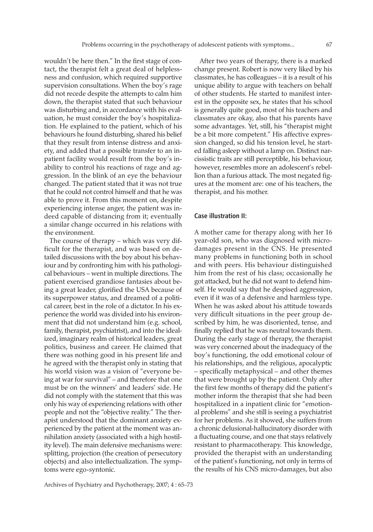wouldn't be here then." In the first stage of contact, the therapist felt a great deal of helplessness and confusion, which required supportive supervision consultations. When the boy's rage did not recede despite the attempts to calm him down, the therapist stated that such behaviour was disturbing and, in accordance with his evaluation, he must consider the boy's hospitalization. He explained to the patient, which of his behaviours he found disturbing, shared his belief that they result from intense distress and anxiety, and added that a possible transfer to an inpatient facility would result from the boy's inability to control his reactions of rage and aggression. In the blink of an eye the behaviour changed. The patient stated that it was not true that he could not control himself and that he was able to prove it. From this moment on, despite experiencing intense anger, the patient was indeed capable of distancing from it; eventually a similar change occurred in his relations with the environment.

The course of therapy – which was very difficult for the therapist, and was based on detailed discussions with the boy about his behaviour and by confronting him with his pathological behaviours – went in multiple directions. The patient exercised grandiose fantasies about being a great leader, glorified the USA because of its superpower status, and dreamed of a political career, best in the role of a dictator. In his experience the world was divided into his environment that did not understand him (e.g. school, family, therapist, psychiatrist), and into the idealized, imaginary realm of historical leaders, great politics, business and career. He claimed that there was nothing good in his present life and he agreed with the therapist only in stating that his world vision was a vision of "everyone being at war for survival" – and therefore that one must be on the winners' and leaders' side. He did not comply with the statement that this was only his way of experiencing relations with other people and not the "objective reality." The therapist understood that the dominant anxiety experienced by the patient at the moment was annihilation anxiety (associated with a high hostility level). The main defensive mechanisms were: splitting, projection (the creation of persecutory objects) and also intellectualization. The symptoms were ego-syntonic.

After two years of therapy, there is a marked change present. Robert is now very liked by his classmates, he has colleagues – it is a result of his unique ability to argue with teachers on behalf of other students. He started to manifest interest in the opposite sex, he states that his school is generally quite good, most of his teachers and classmates are okay, also that his parents have some advantages. Yet, still, his "therapist might be a bit more competent." His affective expression changed, so did his tension level, he started falling asleep without a lamp on. Distinct narcissistic traits are still perceptible, his behaviour, however, resembles more an adolescent's rebellion than a furious attack. The most negated figures at the moment are: one of his teachers, the therapist, and his mother.

#### **Case illustration II:**

A mother came for therapy along with her 16 year-old son, who was diagnosed with microdamages present in the CNS. He presented many problems in functioning both in school and with peers. His behaviour distinguished him from the rest of his class; occasionally he got attacked, but he did not want to defend himself. He would say that he despised aggression, even if it was of a defensive and harmless type. When he was asked about his attitude towards very difficult situations in the peer group described by him, he was disoriented, tense, and finally replied that he was neutral towards them. During the early stage of therapy, the therapist was very concerned about the inadequacy of the boy's functioning, the odd emotional colour of his relationships, and the religious, apocalyptic – specifically metaphysical – and other themes that were brought up by the patient. Only after the first few months of therapy did the patient's mother inform the therapist that she had been hospitalized in a inpatient clinic for "emotional problems" and she still is seeing a psychiatrist for her problems. As it showed, she suffers from a chronic delusional-hallucinatory disorder with a fluctuating course, and one that stays relatively resistant to pharmacotherapy. This knowledge, provided the therapist with an understanding of the patient's functioning, not only in terms of the results of his CNS micro-damages, but also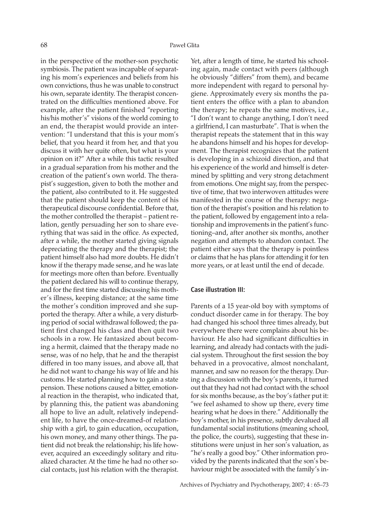in the perspective of the mother-son psychotic symbiosis. The patient was incapable of separating his mom's experiences and beliefs from his own convictions, thus he was unable to construct his own, separate identity. The therapist concentrated on the difficulties mentioned above. For example, after the patient finished "reporting his/his mother's" visions of the world coming to an end, the therapist would provide an intervention: "I understand that this is your mom's belief, that you heard it from her, and that you discuss it with her quite often, but what is your opinion on it?" After a while this tactic resulted in a gradual separation from his mother and the creation of the patient's own world. The therapist's suggestion, given to both the mother and the patient, also contributed to it. He suggested that the patient should keep the content of his therapeutical discourse confidential. Before that, the mother controlled the therapist – patient relation, gently persuading her son to share everything that was said in the office. As expected, after a while, the mother started giving signals depreciating the therapy and the therapist; the patient himself also had more doubts. He didn't know if the therapy made sense, and he was late for meetings more often than before. Eventually the patient declared his will to continue therapy, and for the first time started discussing his mother's illness, keeping distance; at the same time the mother's condition improved and she supported the therapy. After a while, a very disturbing period of social withdrawal followed; the patient first changed his class and then quit two schools in a row. He fantasized about becoming a hermit, claimed that the therapy made no sense, was of no help, that he and the therapist differed in too many issues, and above all, that he did not want to change his way of life and his customs. He started planning how to gain a state pension. These notions caused a bitter, emotional reaction in the therapist, who indicated that, by planning this, the patient was abandoning all hope to live an adult, relatively independent life, to have the once-dreamed-of relationship with a girl, to gain education, occupation, his own money, and many other things. The patient did not break the relationship; his life however, acquired an exceedingly solitary and ritualized character. At the time he had no other social contacts, just his relation with the therapist.

Yet, after a length of time, he started his schooling again, made contact with peers (although he obviously "differs" from them), and became more independent with regard to personal hygiene. Approximately every six months the patient enters the office with a plan to abandon the therapy; he repeats the same motives, i.e., "I don't want to change anything, I don't need a girlfriend, I can masturbate". That is when the therapist repeats the statement that in this way he abandons himself and his hopes for development. The therapist recognizes that the patient is developing in a schizoid direction, and that his experience of the world and himself is determined by splitting and very strong detachment from emotions. One might say, from the perspective of time, that two interwoven attitudes were manifested in the course of the therapy: negation of the therapist's position and his relation to the patient, followed by engagement into a relationship and improvements in the patient's functioning–and, after another six months, another negation and attempts to abandon contact. The patient either says that the therapy is pointless or claims that he has plans for attending it for ten more years, or at least until the end of decade.

#### **Case illustration III:**

Parents of a 15 year-old boy with symptoms of conduct disorder came in for therapy. The boy had changed his school three times already, but everywhere there were complains about his behaviour. He also had significant difficulties in learning, and already had contacts with the judicial system. Throughout the first session the boy behaved in a provocative, almost nonchalant, manner, and saw no reason for the therapy. During a discussion with the boy's parents, it turned out that they had not had contact with the school for six months because, as the boy's father put it: "we feel ashamed to show up there, every time hearing what he does in there." Additionally the boy's mother, in his presence, subtly devalued all fundamental social institutions (meaning school, the police, the courts), suggesting that these institutions were unjust in her son's valuation, as "he's really a good boy." Other information provided by the parents indicated that the son's behaviour might be associated with the family's in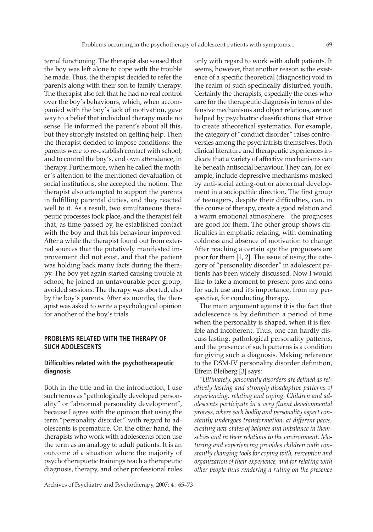ternal functioning. The therapist also sensed that the boy was left alone to cope with the trouble he made. Thus, the therapist decided to refer the parents along with their son to family therapy. The therapist also felt that he had no real control over the boy's behaviours, which, when accompanied with the boy's lack of motivation, gave way to a belief that individual therapy made no sense. He informed the parent's about all this, but they strongly insisted on getting help. Then the therapist decided to impose conditions: the parents were to re-establish contact with school, and to control the boy's, and own attendance, in therapy. Furthermore, when he called the mother's attention to the mentioned devaluation of social institutions, she accepted the notion. The therapist also attempted to support the parents in fulfilling parental duties, and they reacted well to it. As a result, two simultaneous therapeutic processes took place, and the therapist felt that, as time passed by, he established contact with the boy and that his behaviour improved. After a while the therapist found out from external sources that the putatively manifested improvement did not exist, and that the patient was holding back many facts during the therapy. The boy yet again started causing trouble at school, he joined an unfavourable peer group, avoided sessions. The therapy was aborted, also by the boy's parents. After six months, the therapist was asked to write a psychological opinion for another of the boy's trials.

# **PROBLEMS RELATED WITH THE THERAPY OF SUCH ADOLESCENTS**

## **Difficulties related with the psychotherapeutic diagnosis**

Both in the title and in the introduction, I use such terms as "pathologically developed personality" or "abnormal personality development", because I agree with the opinion that using the term "personality disorder" with regard to adolescents is premature. On the other hand, the therapists who work with adolescents often use the term as an analogy to adult patients. It is an outcome of a situation where the majority of psychotherapuetic trainings teach a therapeutic diagnosis, therapy, and other professional rules

only with regard to work with adult patients. It seems, however, that another reason is the existence of a specific theoretical (diagnostic) void in the realm of such specifically disturbed youth. Certainly the therapists, especially the ones who care for the therapeutic diagnosis in terms of defensive mechanisms and object relations, are not helped by psychiatric classifications that strive to create atheoretical systematics. For example, the category of "conduct disorder" raises controversies among the psychiatrists themselves. Both clinical literature and therapeutic experiences indicate that a variety of affective mechanisms can lie beneath antisocial behaviour. They can, for example, include depressive mechanisms masked by anti-social acting-out or abnormal development in a sociopathic direction. The first group of teenagers, despite their difficulties, can, in the course of therapy, create a good relation and a warm emotional atmosphere – the prognoses are good for them. The other group shows difficulties in emphatic relating, with dominating coldness and absence of motivation to change After reaching a certain age the prognoses are poor for them [1, 2]. The issue of using the category of "personality disorder" in adolescent patients has been widely discussed. Now I would like to take a moment to present pros and cons for such use and it's importance, from my perspective, for conducting therapy.

The main argument against it is the fact that adolescence is by definition a period of time when the personality is shaped, when it is flexible and incoherent. Thus, one can hardly discuss lasting, pathological personality patterns, and the presence of such patterns is a condition for giving such a diagnosis. Making reference to the DSM-IV personality disorder definition, Efrein Bleiberg [3] says:

*"Ultimately, personality disorders are defined as relatively lasting and strongly disadaptive patterns of experiencing, relating and coping. Children and adolescents participate in a very fluent developmental process, where each bodily and personality aspect constantly undergoes transformation, at different paces, creating new states of balance and imbalance in themselves and in their relations to the environment. Maturing and experiencing provides children with constantly changing tools for coping with, perception and organization of their experience, and for relating with other people thus rendering a ruling on the presence*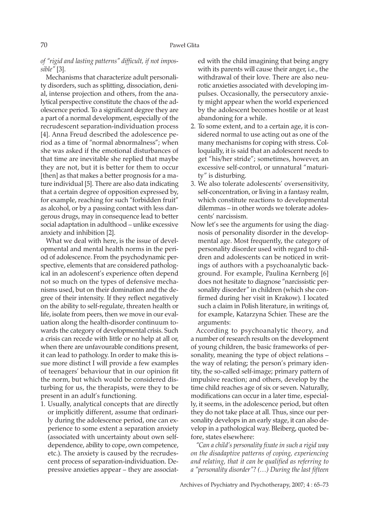*of "rigid and lasting patterns" difficult, if not impossible"* [3].

Mechanisms that characterize adult personality disorders, such as splitting, dissociation, denial, intense projection and others, from the analytical perspective constitute the chaos of the adolescence period. To a significant degree they are a part of a normal development, especially of the recrudescent separation-individuation process [4]. Anna Freud described the adolescence period as a time of "normal abnormalness"; when she was asked if the emotional disturbances of that time are inevitable she replied that maybe they are not, but it is better for them to occur [then] as that makes a better prognosis for a mature individual [5]. There are also data indicating that a certain degree of opposition expressed by, for example, reaching for such "forbidden fruit" as alcohol, or by a passing contact with less dangerous drugs, may in consequence lead to better social adaptation in adulthood – unlike excessive anxiety and inhibition [2].

What we deal with here, is the issue of developmental and mental health norms in the period of adolescence. From the psychodynamic perspective, elements that are considered pathological in an adolescent's experience often depend not so much on the types of defensive mechanisms used, but on their domination and the degree of their intensity. If they reflect negatively on the ability to self-regulate, threaten health or life, isolate from peers, then we move in our evaluation along the health-disorder continuum towards the category of developmental crisis. Such a crisis can recede with little or no help at all or, when there are unfavourable conditions present, it can lead to pathology. In order to make this issue more distinct I will provide a few examples of teenagers' behaviour that in our opinion fit the norm, but which would be considered disturbing for us, the therapists, were they to be present in an adult's functioning.

1. Usually, analytical concepts that are directly or implicitly different, assume that ordinarily during the adolescence period, one can experience to some extent a separation anxiety (associated with uncertainty about own selfdependence, ability to cope, own competence, etc.). The anxiety is caused by the recrudescent process of separation-individuation. Depressive anxieties appear – they are associated with the child imagining that being angry with its parents will cause their anger, i.e., the withdrawal of their love. There are also neurotic anxieties associated with developing impulses. Occasionally, the persecutory anxiety might appear when the world experienced by the adolescent becomes hostile or at least abandoning for a while.

- 2. To some extent, and to a certain age, it is considered normal to use acting out as one of the many mechanisms for coping with stress. Colloquially, it is said that an adolescent needs to get "his/her stride"; sometimes, however, an excessive self-control, or unnatural "maturity" is disturbing.
- 3. We also tolerate adolescents' oversensitivity, self-concentration, or living in a fantasy realm, which constitute reactions to developmental dilemmas – in other words we tolerate adolescents' narcissism.
- Now let's see the arguments for using the diagnosis of personality disorder in the developmental age. Most frequently, the category of personality disorder used with regard to children and adolescents can be noticed in writings of authors with a psychoanalytic background. For example, Paulina Kernberg [6] does not hesitate to diagnose "narcissistic personality disorder" in children (which she confirmed during her visit in Krakow). I located such a claim in Polish literature, in writings of, for example, Katarzyna Schier. These are the arguments:

According to psychoanalytic theory, and a number of research results on the development of young children, the basic frameworks of personality, meaning the type of object relations – the way of relating; the person's primary identity, the so-called self-image; primary pattern of impulsive reaction; and others, develop by the time child reaches age of six or seven. Naturally, modifications can occur in a later time, especially, it seems, in the adolescence period, but often they do not take place at all. Thus, since our personality develops in an early stage, it can also develop in a pathological way. Bleiberg, quoted before, states elsewhere:

*"Can a child's personality fixate in such a rigid way on the disadaptive patterns of coping, experiencing and relating, that it can be qualified as referring to a "personality disorder"? (…) During the last fifteen*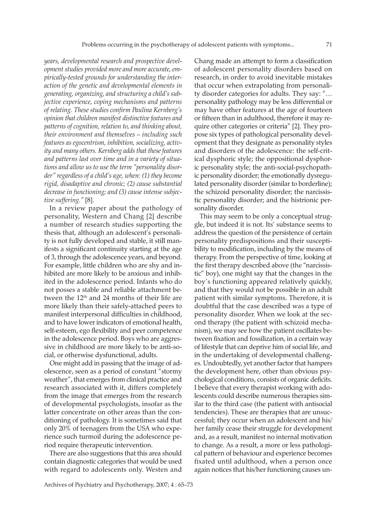*years, developmental research and prospective development studies provided more and more accurate, empirically-tested grounds for understanding the interaction of the genetic and developmental elements in generating, organizing, and structuring a child's subjective experience, coping mechanisms and patterns of relating. These studies confirm Paulina Kernberg's opinion that children manifest distinctive features and patterns of cognition, relation to, and thinking about, their environment and themselves – including such features as egocentrism, inhibition, socializing, activity and many others. Kernberg adds that these features and patterns last over time and in a variety of situations and allow us to use the term "personality disorder" regardless of a child's age, when: (1) they become rigid, disadaptive and chronic; (2) cause substantial decrease in functioning; and (3) cause intense subjective suffering."* [8].

In a review paper about the pathology of personality, Western and Chang [2] describe a number of research studies supporting the thesis that, although an adolescent's personality is not fully developed and stable, it still manifests a significant continuity starting at the age of 3, through the adolescence years, and beyond. For example, little children who are shy and inhibited are more likely to be anxious and inhibited in the adolescence period. Infants who do not posses a stable and reliable attachment between the 12<sup>th</sup> and 24 months of their life are more likely than their safely-attached peers to manifest interpersonal difficulties in childhood, and to have lower indicators of emotional health, self-esteem, ego flexibility and peer competence in the adolescence period. Boys who are aggressive in childhood are more likely to be anti-social, or otherwise dysfunctional, adults.

One might add in passing that the image of adolescence, seen as a period of constant "stormy weather", that emerges from clinical practice and research associated with it, differs completely from the image that emerges from the research of developmental psychologists, insofar as the latter concentrate on other areas than the conditioning of pathology. It is sometimes said that only 20% of teenagers from the USA who experience such turmoil during the adolescence period require therapeutic intervention.

There are also suggestions that this area should contain diagnostic categories that would be used with regard to adolescents only. Westen and Chang made an attempt to form a classification of adolescent personality disorders based on research, in order to avoid inevitable mistakes that occur when extrapolating from personality disorder categories for adults. They say: "… personality pathology may be less differential or may have other features at the age of fourteen or fifteen than in adulthood, therefore it may require other categories or criteria" [2]. They propose six types of pathological personality development that they designate as personality styles and disorders of the adolescence: the self-critical dysphoric style; the oppositional dysphoric personality style; the anti-social-psychopathic personality disorder; the emotionally dysregulated personality disorder (similar to borderline); the schizoid personality disorder; the narcissistic personality disorder; and the histrionic personality disorder.

This may seem to be only a conceptual struggle, but indeed it is not. Its' substance seems to address the question of the persistence of certain personality predispositions and their susceptibility to modification, including by the means of therapy. From the perspective of time, looking at the first therapy described above (the "narcissistic" boy), one might say that the changes in the boy's functioning appeared relatively quickly, and that they would not be possible in an adult patient with similar symptoms. Therefore, it is doubtful that the case described was a type of personality disorder. When we look at the second therapy (the patient with schizoid mechanism), we may see how the patient oscillates between fixation and fossilization, in a certain way of lifestyle that can deprive him of social life, and in the undertaking of developmental challenges. Undoubtedly, yet another factor that hampers the development here, other than obvious psychological conditions, consists of organic deficits. I believe that every therapist working with adolescents could describe numerous therapies similar to the third case (the patient with antisocial tendencies). These are therapies that are unsuccessful; they occur when an adolescent and his/ her family cease their struggle for development and, as a result, manifest no internal motivation to change. As a result, a more or less pathological pattern of behaviour and experience becomes fixated until adulthood, when a person once again notices that his/her functioning causes un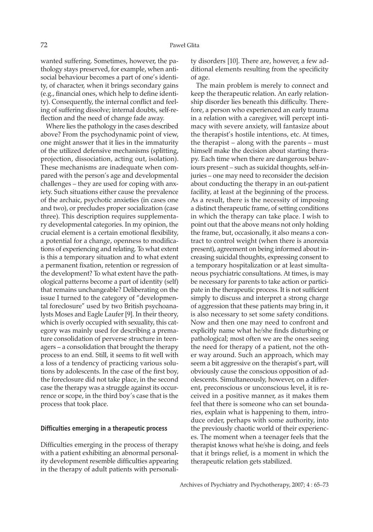wanted suffering. Sometimes, however, the pathology stays preserved, for example, when antisocial behaviour becomes a part of one's identity, of character, when it brings secondary gains (e.g., financial ones, which help to define identity). Consequently, the internal conflict and feeling of suffering dissolve; internal doubts, self-reflection and the need of change fade away.

Where lies the pathology in the cases described above? From the psychodynamic point of view, one might answer that it lies in the immaturity of the utilized defensive mechanisms (splitting, projection, dissociation, acting out, isolation). These mechanisms are inadequate when compared with the person's age and developmental challenges – they are used for coping with anxiety. Such situations either cause the prevalence of the archaic, psychotic anxieties (in cases one and two), or precludes proper socialization (case three). This description requires supplementary developmental categories. In my opinion, the crucial element is a certain emotional flexibility, a potential for a change, openness to modifications of experiencing and relating. To what extent is this a temporary situation and to what extent a permanent fixation, retention or regression of the development? To what extent have the pathological patterns become a part of identity (self) that remains unchangeable? Deliberating on the issue I turned to the category of "developmental foreclosure" used by two British psychoanalysts Moses and Eagle Laufer [9]. In their theory, which is overly occupied with sexuality, this category was mainly used for describing a premature consolidation of perverse structure in teenagers – a consolidation that brought the therapy process to an end. Still, it seems to fit well with a loss of a tendency of practicing various solutions by adolescents. In the case of the first boy, the foreclosure did not take place, in the second case the therapy was a struggle against its occurrence or scope, in the third boy's case that is the process that took place.

#### **Difficulties emerging in a therapeutic process**

Difficulties emerging in the process of therapy with a patient exhibiting an abnormal personality development resemble difficulties appearing in the therapy of adult patients with personality disorders [10]. There are, however, a few additional elements resulting from the specificity of age.

The main problem is merely to connect and keep the therapeutic relation. An early relationship disorder lies beneath this difficulty. Therefore, a person who experienced an early trauma in a relation with a caregiver, will percept intimacy with severe anxiety, will fantasize about the therapist's hostile intentions, etc. At times, the therapist – along with the parents – must himself make the decision about starting therapy. Each time when there are dangerous behaviours present – such as suicidal thoughts, self-injuries – one may need to reconsider the decision about conducting the therapy in an out-patient facility, at least at the beginning of the process. As a result, there is the necessity of imposing a distinct therapeutic frame, of setting conditions in which the therapy can take place. I wish to point out that the above means not only holding the frame, but, occasionally, it also means a contract to control weight (when there is anorexia present), agreement on being informed about increasing suicidal thoughts, expressing consent to a temporary hospitalization or at least simultaneous psychiatric consultations. At times, is may be necessary for parents to take action or participate in the therapeutic process. It is not sufficient simply to discuss and interpret a strong charge of aggression that these patients may bring in, it is also necessary to set some safety conditions. Now and then one may need to confront and explicitly name what he/she finds disturbing or pathological; most often we are the ones seeing the need for therapy of a patient, not the other way around. Such an approach, which may seem a bit aggressive on the therapist's part, will obviously cause the conscious opposition of adolescents. Simultaneously, however, on a different, preconscious or unconscious level, it is received in a positive manner, as it makes them feel that there is someone who can set boundaries, explain what is happening to them, introduce order, perhaps with some authority, into the previously chaotic world of their experiences. The moment when a teenager feels that the therapist knows what he/she is doing, and feels that it brings relief, is a moment in which the therapeutic relation gets stabilized.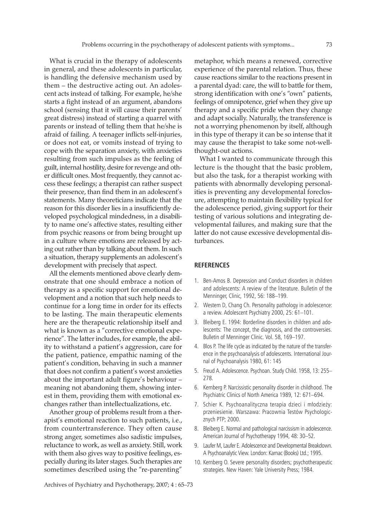What is crucial in the therapy of adolescents in general, and these adolescents in particular, is handling the defensive mechanism used by them – the destructive acting out. An adolescent acts instead of talking. For example, he/she starts a fight instead of an argument, abandons school (sensing that it will cause their parents' great distress) instead of starting a quarrel with parents or instead of telling them that he/she is afraid of failing. A teenager inflicts self-injuries, or does not eat, or vomits instead of trying to cope with the separation anxiety, with anxieties resulting from such impulses as the feeling of guilt, internal hostility, desire for revenge and other difficult ones. Most frequently, they cannot access these feelings; a therapist can rather suspect their presence, than find them in an adolescent's statements. Many theoreticians indicate that the reason for this disorder lies in a insufficiently developed psychological mindedness, in a disability to name one's affective states, resulting either from psychic reasons or from being brought up in a culture where emotions are released by acting out rather than by talking about them. In such a situation, therapy supplements an adolescent's development with precisely that aspect.

All the elements mentioned above clearly demonstrate that one should embrace a notion of therapy as a specific support for emotional development and a notion that such help needs to continue for a long time in order for its effects to be lasting. The main therapeutic elements here are the therapeutic relationship itself and what is known as a "corrective emotional experience". The latter includes, for example, the ability to withstand a patient's aggression, care for the patient, patience, empathic naming of the patient's condition, behaving in such a manner that does not confirm a patient's worst anxieties about the important adult figure's behaviour – meaning not abandoning them, showing interest in them, providing them with emotional exchanges rather than intellectualizations, etc.

Another group of problems result from a therapist's emotional reaction to such patients, i.e., from countertransference. They often cause strong anger, sometimes also sadistic impulses, reluctance to work, as well as anxiety. Still, work with them also gives way to positive feelings, especially during its later stages. Such therapies are sometimes described using the "re-parenting"

metaphor, which means a renewed, corrective experience of the parental relation. Thus, these cause reactions similar to the reactions present in a parental dyad: care, the will to battle for them, strong identification with one's "own" patients, feelings of omnipotence, grief when they give up therapy and a specific pride when they change and adapt socially. Naturally, the transference is not a worrying phenomenon by itself, although in this type of therapy it can be so intense that it may cause the therapist to take some not-wellthought-out actions.

What I wanted to communicate through this lecture is the thought that the basic problem, but also the task, for a therapist working with patients with abnormally developing personalities is preventing any developmental foreclosure, attempting to maintain flexibility typical for the adolescence period, giving support for their testing of various solutions and integrating developmental failures, and making sure that the latter do not cause excessive developmental disturbances.

#### **REFERENCES**

- 1. Ben-Amos B. Depression and Conduct disorders in children and adolescents: A review of the literature. Bulletin of the Menninger, Clinic, 1992, 56: 188–199.
- 2. Western D, Chang Ch. Personality pathology in adolescence: a review. Adolescent Psychiatry 2000, 25: 61–101.
- 3. Bleiberg E. 1994: Borderline disorders in children and adolescents: The concept, the diagnosis, and the controversies. Bulletin of Menninger Clinic. Vol. 58, 169–197.
- 4. Blos P. The life cycle as indicated by the nature of the transference in the psychoanalysis of adolescents. International Journal of Psychoanalysis 1980, 61: 145
- 5. Freud A. Adolescence. Psychoan. Study Child. 1958, 13: 255– 278.
- 6. Kernberg P. Narcissistic personality disorder in childhood. The Psychiatric Clinics of North America 1989, 12: 671–694.
- 7. Schier K. Psychoanalityczna terapia dzieci i młodzieży: przeniesienie. Warszawa: Pracownia Testów Psychologicznych PTP; 2000.
- 8. Bleiberg E. Normal and pathological narcissism in adolescence. American Journal of Psychotherapy 1994, 48: 30–52.
- 9. Laufer M, Laufer E. Adolescence and Developmental Breakdown. A Psychoanalytic View. London: Karnac (Books) Ltd.; 1995.
- 10. Kernberg O. Severe personality disorders; psychotherapeutic strategies. New Haven: Yale University Press; 1984.

Archives of Psychiatry and Psychotherapy, 2007; 4 : 65–73